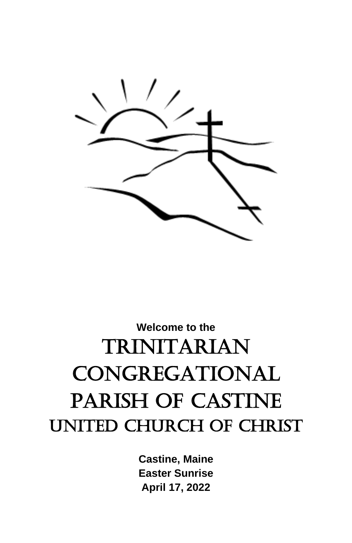

## **Welcome to the** TRINITARIAN CONGREGATIONAL PARISH OF CASTINE UNITED CHURCH OF CHRIST

**Castine, Maine Easter Sunrise April 17, 2022**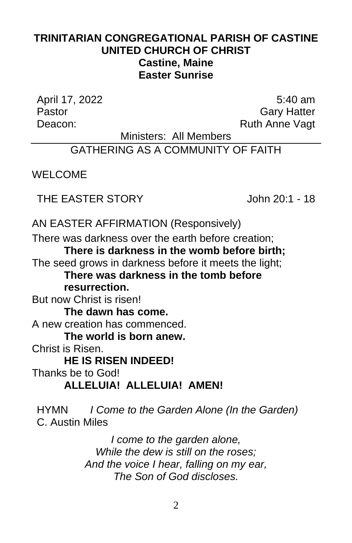## **TRINITARIAN CONGREGATIONAL PARISH OF CASTINE UNITED CHURCH OF CHRIST Castine, Maine Easter Sunrise**

April 17, 2022 5:40 am

Pastor **Gary Hatter** Deacon: Ruth Anne Vagt

Ministers: All Members

GATHERING AS A COMMUNITY OF FAITH

WELCOME

THE EASTER STORY John 20:1 - 18

AN EASTER AFFIRMATION (Responsively)

There was darkness over the earth before creation; **There is darkness in the womb before birth;** The seed grows in darkness before it meets the light; **There was darkness in the tomb before** 

**resurrection.**

But now Christ is risen!

**The dawn has come.**

A new creation has commenced.

**The world is born anew.**

Christ is Risen.

**HE IS RISEN INDEED!**

Thanks be to God!

**ALLELUIA! ALLELUIA! AMEN!**

HYMN *I Come to the Garden Alone (In the Garden)* C. Austin Miles

> *I come to the garden alone, While the dew is still on the roses; And the voice I hear, falling on my ear, The Son of God discloses.*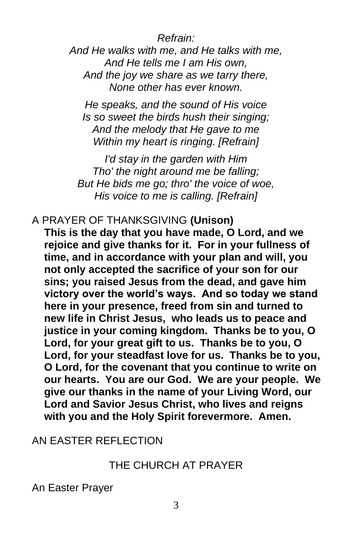*Refrain:*

*And He walks with me, and He talks with me, And He tells me I am His own, And the joy we share as we tarry there, None other has ever known.*

*He speaks, and the sound of His voice Is so sweet the birds hush their singing; And the melody that He gave to me Within my heart is ringing. [Refrain]*

*I'd stay in the garden with Him Tho' the night around me be falling; But He bids me go; thro' the voice of woe, His voice to me is calling. [Refrain]*

A PRAYER OF THANKSGIVING **(Unison)**

**This is the day that you have made, O Lord, and we rejoice and give thanks for it. For in your fullness of time, and in accordance with your plan and will, you not only accepted the sacrifice of your son for our sins; you raised Jesus from the dead, and gave him victory over the world's ways. And so today we stand here in your presence, freed from sin and turned to new life in Christ Jesus, who leads us to peace and justice in your coming kingdom. Thanks be to you, O Lord, for your great gift to us. Thanks be to you, O Lord, for your steadfast love for us. Thanks be to you, O Lord, for the covenant that you continue to write on our hearts. You are our God. We are your people. We give our thanks in the name of your Living Word, our Lord and Savior Jesus Christ, who lives and reigns with you and the Holy Spirit forevermore. Amen.**

## AN EASTER REFLECTION

## THE CHURCH AT PRAYER

An Easter Prayer